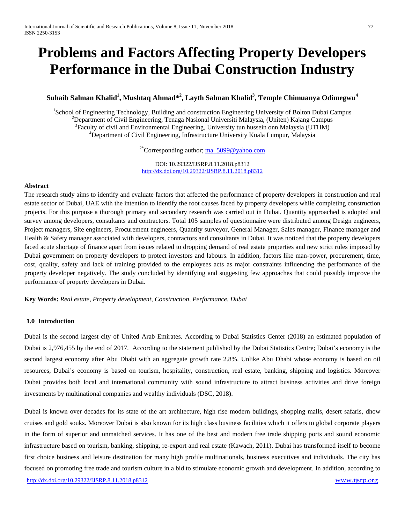# **Problems and Factors Affecting Property Developers Performance in the Dubai Construction Industry**

# **Suhaib Salman Khalid<sup>1</sup> , Mushtaq Ahmad\*<sup>2</sup> , Layth Salman Khalid<sup>3</sup> , Temple Chimuanya Odimegwu<sup>4</sup>**

<sup>1</sup>School of Engineering Technology, Building and construction Engineering University of Bolton Dubai Campus <sup>2</sup> Department of Civil Engineering Tenege Necional Universiti Melevcie, (United) Keing Campus  $P^2$ Department of Civil Engineering, Tenaga Nasional Universiti Malaysia, (Uniten) Kajang Campus  ${}^{3}$ Faculty of civil and Environmental Engineering, University tun hussein onn Malaysia (UTHM) <sup>4</sup>Department of Civil Engineering, Infrastructure University Kuala Lumpur, Malaysia

<sup>2\*</sup>Corresponding author; [ma\\_5099@yahoo.com](mailto:ma_5099@yahoo.com)

DOI: 10.29322/IJSRP.8.11.2018.p8312 <http://dx.doi.org/10.29322/IJSRP.8.11.2018.p8312>

#### **Abstract**

The research study aims to identify and evaluate factors that affected the performance of property developers in construction and real estate sector of Dubai, UAE with the intention to identify the root causes faced by property developers while completing construction projects. For this purpose a thorough primary and secondary research was carried out in Dubai. Quantity approached is adopted and survey among developers, consultants and contractors. Total 105 samples of questionnaire were distributed among Design engineers, Project managers, Site engineers, Procurement engineers, Quantity surveyor, General Manager, Sales manager, Finance manager and Health & Safety manager associated with developers, contractors and consultants in Dubai. It was noticed that the property developers faced acute shortage of finance apart from issues related to dropping demand of real estate properties and new strict rules imposed by Dubai government on property developers to protect investors and labours. In addition, factors like man-power, procurement, time, cost, quality, safety and lack of training provided to the employees acts as major constraints influencing the performance of the property developer negatively. The study concluded by identifying and suggesting few approaches that could possibly improve the performance of property developers in Dubai.

**Key Words:** *Real estate, Property development, Construction, Performance, Dubai*

# **1.0 Introduction**

Dubai is the second largest city of United Arab Emirates. According to Dubai Statistics Center (2018) an estimated population of Dubai is 2,976,455 by the end of 2017. According to the statement published by the Dubai Statistics Centre; Dubai's economy is the second largest economy after Abu Dhabi with an aggregate growth rate 2.8%. Unlike Abu Dhabi whose economy is based on oil resources, Dubai's economy is based on tourism, hospitality, construction, real estate, banking, shipping and logistics. Moreover Dubai provides both local and international community with sound infrastructure to attract business activities and drive foreign investments by multinational companies and wealthy individuals (DSC, 2018).

Dubai is known over decades for its state of the art architecture, high rise modern buildings, shopping malls, desert safaris, dhow cruises and gold souks. Moreover Dubai is also known for its high class business facilities which it offers to global corporate players in the form of superior and unmatched services. It has one of the best and modern free trade shipping ports and sound economic infrastructure based on tourism, banking, shipping, re-export and real estate (Kawach, 2011). Dubai has transformed itself to become first choice business and leisure destination for many high profile multinationals, business executives and individuals. The city has focused on promoting free trade and tourism culture in a bid to stimulate economic growth and development. In addition, according to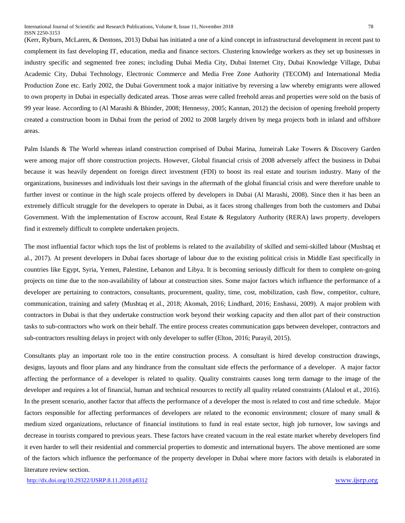(Kerr, Ryburn, McLaren, & Dentons, 2013) Dubai has initiated a one of a kind concept in infrastructural development in recent past to complement its fast developing IT, education, media and finance sectors. Clustering knowledge workers as they set up businesses in industry specific and segmented free zones; including Dubai Media City, Dubai Internet City, Dubai Knowledge Village, Dubai Academic City, Dubai Technology, Electronic Commerce and Media Free Zone Authority (TECOM) and International Media Production Zone etc. Early 2002, the Dubai Government took a major initiative by reversing a law whereby emigrants were allowed to own property in Dubai in especially dedicated areas. Those areas were called freehold areas and properties were sold on the basis of 99 year lease. According to (Al Marashi & Bhinder, 2008; Hennessy, 2005; Kannan, 2012) the decision of opening freehold property created a construction boom in Dubai from the period of 2002 to 2008 largely driven by mega projects both in inland and offshore areas.

Palm Islands & The World whereas inland construction comprised of Dubai Marina, Jumeirah Lake Towers & Discovery Garden were among major off shore construction projects. However, Global financial crisis of 2008 adversely affect the business in Dubai because it was heavily dependent on foreign direct investment (FDI) to boost its real estate and tourism industry. Many of the organizations, businesses and individuals lost their savings in the aftermath of the global financial crisis and were therefore unable to further invest or continue in the high scale projects offered by developers in Dubai (Al Marashi, 2008). Since then it has been an extremely difficult struggle for the developers to operate in Dubai, as it faces strong challenges from both the customers and Dubai Government. With the implementation of Escrow account, Real Estate & Regulatory Authority (RERA) laws property, developers find it extremely difficult to complete undertaken projects.

The most influential factor which tops the list of problems is related to the availability of skilled and semi-skilled labour (Mushtaq et al., 2017). At present developers in Dubai faces shortage of labour due to the existing political crisis in Middle East specifically in countries like Egypt, Syria, Yemen, Palestine, Lebanon and Libya. It is becoming seriously difficult for them to complete on-going projects on time due to the non-availability of labour at construction sites. Some major factors which influence the performance of a developer are pertaining to contractors, consultants, procurement, quality, time, cost, mobilization, cash flow, competitor, culture, communication, training and safety (Mushtaq et al., 2018; Akomah, 2016; Lindhard, 2016; Enshassi, 2009). A major problem with contractors in Dubai is that they undertake construction work beyond their working capacity and then allot part of their construction tasks to sub-contractors who work on their behalf. The entire process creates communication gaps between developer, contractors and sub-contractors resulting delays in project with only developer to suffer (Elton, 2016; Purayil, 2015).

Consultants play an important role too in the entire construction process. A consultant is hired develop construction drawings, designs, layouts and floor plans and any hindrance from the consultant side effects the performance of a developer. A major factor affecting the performance of a developer is related to quality. Quality constraints causes long term damage to the image of the developer and requires a lot of financial, human and technical resources to rectify all quality related constraints (Alaloul et al., 2016). In the present scenario, another factor that affects the performance of a developer the most is related to cost and time schedule. Major factors responsible for affecting performances of developers are related to the economic environment; closure of many small & medium sized organizations, reluctance of financial institutions to fund in real estate sector, high job turnover, low savings and decrease in tourists compared to previous years. These factors have created vacuum in the real estate market whereby developers find it even harder to sell their residential and commercial properties to domestic and international buyers. The above mentioned are some of the factors which influence the performance of the property developer in Dubai where more factors with details is elaborated in literature review section.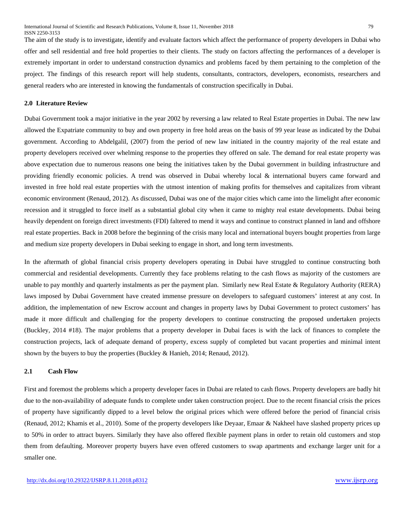The aim of the study is to investigate, identify and evaluate factors which affect the performance of property developers in Dubai who offer and sell residential and free hold properties to their clients. The study on factors affecting the performances of a developer is extremely important in order to understand construction dynamics and problems faced by them pertaining to the completion of the project. The findings of this research report will help students, consultants, contractors, developers, economists, researchers and general readers who are interested in knowing the fundamentals of construction specifically in Dubai.

#### **2.0 Literature Review**

Dubai Government took a major initiative in the year 2002 by reversing a law related to Real Estate properties in Dubai. The new law allowed the Expatriate community to buy and own property in free hold areas on the basis of 99 year lease as indicated by the Dubai government. According to Abdelgalil, (2007) from the period of new law initiated in the country majority of the real estate and property developers received over whelming response to the properties they offered on sale. The demand for real estate property was above expectation due to numerous reasons one being the initiatives taken by the Dubai government in building infrastructure and providing friendly economic policies. A trend was observed in Dubai whereby local & international buyers came forward and invested in free hold real estate properties with the utmost intention of making profits for themselves and capitalizes from vibrant economic environment (Renaud, 2012). As discussed, Dubai was one of the major cities which came into the limelight after economic recession and it struggled to force itself as a substantial global city when it came to mighty real estate developments. Dubai being heavily dependent on foreign direct investments (FDI) faltered to mend it ways and continue to construct planned in land and offshore real estate properties. Back in 2008 before the beginning of the crisis many local and international buyers bought properties from large and medium size property developers in Dubai seeking to engage in short, and long term investments.

In the aftermath of global financial crisis property developers operating in Dubai have struggled to continue constructing both commercial and residential developments. Currently they face problems relating to the cash flows as majority of the customers are unable to pay monthly and quarterly instalments as per the payment plan. Similarly new Real Estate & Regulatory Authority (RERA) laws imposed by Dubai Government have created immense pressure on developers to safeguard customers' interest at any cost. In addition, the implementation of new Escrow account and changes in property laws by Dubai Government to protect customers' has made it more difficult and challenging for the property developers to continue constructing the proposed undertaken projects (Buckley, 2014 #18). The major problems that a property developer in Dubai faces is with the lack of finances to complete the construction projects, lack of adequate demand of property, excess supply of completed but vacant properties and minimal intent shown by the buyers to buy the properties (Buckley & Hanieh, 2014; Renaud, 2012).

#### **2.1 Cash Flow**

First and foremost the problems which a property developer faces in Dubai are related to cash flows. Property developers are badly hit due to the non-availability of adequate funds to complete under taken construction project. Due to the recent financial crisis the prices of property have significantly dipped to a level below the original prices which were offered before the period of financial crisis (Renaud, 2012; Khamis et al., 2010). Some of the property developers like Deyaar, Emaar & Nakheel have slashed property prices up to 50% in order to attract buyers. Similarly they have also offered flexible payment plans in order to retain old customers and stop them from defaulting. Moreover property buyers have even offered customers to swap apartments and exchange larger unit for a smaller one.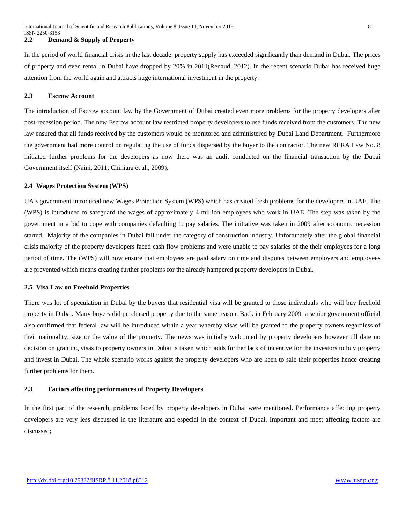#### **2.2 Demand & Supply of Property**

In the period of world financial crisis in the last decade, property supply has exceeded significantly than demand in Dubai. The prices of property and even rental in Dubai have dropped by 20% in 2011(Renaud, 2012). In the recent scenario Dubai has received huge attention from the world again and attracts huge international investment in the property.

#### **2.3 Escrow Account**

The introduction of Escrow account law by the Government of Dubai created even more problems for the property developers after post-recession period. The new Escrow account law restricted property developers to use funds received from the customers. The new law ensured that all funds received by the customers would be monitored and administered by Dubai Land Department. Furthermore the government had more control on regulating the use of funds dispersed by the buyer to the contractor. The new RERA Law No. 8 initiated further problems for the developers as now there was an audit conducted on the financial transaction by the Dubai Government itself (Naini, 2011; Chiniara et al., 2009).

#### **2.4 Wages Protection System (WPS)**

UAE government introduced new Wages Protection System (WPS) which has created fresh problems for the developers in UAE. The (WPS) is introduced to safeguard the wages of approximately 4 million employees who work in UAE. The step was taken by the government in a bid to cope with companies defaulting to pay salaries. The initiative was taken in 2009 after economic recession started. Majority of the companies in Dubai fall under the category of construction industry. Unfortunately after the global financial crisis majority of the property developers faced cash flow problems and were unable to pay salaries of the their employees for a long period of time. The (WPS) will now ensure that employees are paid salary on time and disputes between employers and employees are prevented which means creating further problems for the already hampered property developers in Dubai.

#### **2.5 Visa Law on Freehold Properties**

There was lot of speculation in Dubai by the buyers that residential visa will be granted to those individuals who will buy freehold property in Dubai. Many buyers did purchased property due to the same reason. Back in February 2009, a senior government official also confirmed that federal law will be introduced within a year whereby visas will be granted to the property owners regardless of their nationality, size or the value of the property. The news was initially welcomed by property developers however till date no decision on granting visas to property owners in Dubai is taken which adds further lack of incentive for the investors to buy property and invest in Dubai. The whole scenario works against the property developers who are keen to sale their properties hence creating further problems for them.

## **2.3 Factors affecting performances of Property Developers**

In the first part of the research, problems faced by property developers in Dubai were mentioned. Performance affecting property developers are very less discussed in the literature and especial in the context of Dubai. Important and most affecting factors are discussed;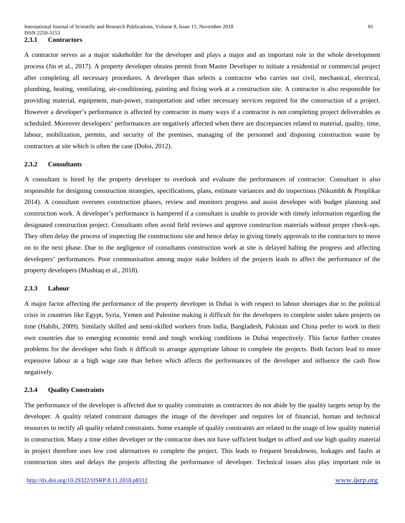A contractor serves as a major stakeholder for the developer and plays a major and an important role in the whole development process (Jin et al., 2017). A property developer obtains permit from Master Developer to initiate a residential or commercial project after completing all necessary procedures. A developer than selects a contractor who carries out civil, mechanical, electrical, plumbing, heating, ventilating, air-conditioning, painting and fixing work at a construction site. A contractor is also responsible for providing material, equipment, man-power, transportation and other necessary services required for the construction of a project. However a developer's performance is affected by contractor in many ways if a contractor is not completing project deliverables as scheduled. Moreover developers' performances are negatively affected when there are discrepancies related to material, quality, time, labour, mobilization, permits, and security of the premises, managing of the personnel and disposing construction waste by contractors at site which is often the case (Doloi, 2012).

## **2.3.2 Consultants**

A consultant is hired by the property developer to overlook and evaluate the performances of contractor. Consultant is also responsible for designing construction strategies, specifications, plans, estimate variances and do inspections (Nikumbh & Pimplikar 2014). A consultant oversees construction phases, review and monitors progress and assist developer with budget planning and construction work. A developer's performance is hampered if a consultant is unable to provide with timely information regarding the designated construction project. Consultants often avoid field reviews and approve construction materials without proper check-ups. They often delay the process of inspecting the constructions site and hence delay in giving timely approvals to the contractors to move on to the next phase. Due to the negligence of consultants construction work at site is delayed halting the progress and affecting developers' performances. Poor communisation among major stake holders of the projects leads to affect the performance of the property developers (Mushtaq et al., 2018).

#### **2.3.3 Labour**

A major factor affecting the performance of the property developer in Dubai is with respect to labour shortages due to the political crisis in countries like Egypt, Syria, Yemen and Palestine making it difficult for the developers to complete under taken projects on time (Habibi, 2009). Similarly skilled and semi-skilled workers from India, Bangladesh, Pakistan and China prefer to work in their own countries due to emerging economic trend and tough working conditions in Dubai respectively. This factor further creates problems for the developer who finds it difficult to arrange appropriate labour to complete the projects. Both factors lead to more expensive labour at a high wage rate than before which affects the performances of the developer and influence the cash flow negatively.

#### **2.3.4 Quality Constraints**

The performance of the developer is affected due to quality constraints as contractors do not abide by the quality targets setup by the developer. A quality related constraint damages the image of the developer and requires lot of financial, human and technical resources to rectify all quality related constraints. Some example of quality constraints are related to the usage of low quality material in construction. Many a time either developer or the contractor does not have sufficient budget to afford and use high quality material in project therefore uses low cost alternatives to complete the project. This leads to frequent breakdowns, leakages and faults at construction sites and delays the projects affecting the performance of developer. Technical issues also play important role in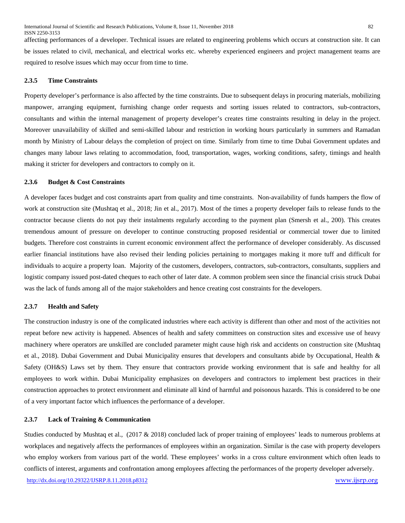affecting performances of a developer. Technical issues are related to engineering problems which occurs at construction site. It can be issues related to civil, mechanical, and electrical works etc. whereby experienced engineers and project management teams are required to resolve issues which may occur from time to time.

## **2.3.5 Time Constraints**

Property developer's performance is also affected by the time constraints. Due to subsequent delays in procuring materials, mobilizing manpower, arranging equipment, furnishing change order requests and sorting issues related to contractors, sub-contractors, consultants and within the internal management of property developer's creates time constraints resulting in delay in the project. Moreover unavailability of skilled and semi-skilled labour and restriction in working hours particularly in summers and Ramadan month by Ministry of Labour delays the completion of project on time. Similarly from time to time Dubai Government updates and changes many labour laws relating to accommodation, food, transportation, wages, working conditions, safety, timings and health making it stricter for developers and contractors to comply on it.

#### **2.3.6 Budget & Cost Constraints**

A developer faces budget and cost constraints apart from quality and time constraints. Non-availability of funds hampers the flow of work at construction site (Mushtaq et al., 2018; Jin et al., 2017). Most of the times a property developer fails to release funds to the contractor because clients do not pay their instalments regularly according to the payment plan (Smersh et al., 200). This creates tremendous amount of pressure on developer to continue constructing proposed residential or commercial tower due to limited budgets. Therefore cost constraints in current economic environment affect the performance of developer considerably. As discussed earlier financial institutions have also revised their lending policies pertaining to mortgages making it more tuff and difficult for individuals to acquire a property loan. Majority of the customers, developers, contractors, sub-contractors, consultants, suppliers and logistic company issued post-dated cheques to each other of later date. A common problem seen since the financial crisis struck Dubai was the lack of funds among all of the major stakeholders and hence creating cost constraints for the developers.

#### **2.3.7 Health and Safety**

The construction industry is one of the complicated industries where each activity is different than other and most of the activities not repeat before new activity is happened. Absences of health and safety committees on construction sites and excessive use of heavy machinery where operators are unskilled are concluded parameter might cause high risk and accidents on construction site (Mushtaq et al., 2018). Dubai Government and Dubai Municipality ensures that developers and consultants abide by Occupational, Health & Safety (OH&S) Laws set by them. They ensure that contractors provide working environment that is safe and healthy for all employees to work within. Dubai Municipality emphasizes on developers and contractors to implement best practices in their construction approaches to protect environment and eliminate all kind of harmful and poisonous hazards. This is considered to be one of a very important factor which influences the performance of a developer.

#### **2.3.7 Lack of Training & Communication**

<http://dx.doi.org/10.29322/IJSRP.8.11.2018.p8312> [www.ijsrp.org](http://ijsrp.org/) Studies conducted by Mushtaq et al., (2017 & 2018) concluded lack of proper training of employees' leads to numerous problems at workplaces and negatively affects the performances of employees within an organization. Similar is the case with property developers who employ workers from various part of the world. These employees' works in a cross culture environment which often leads to conflicts of interest, arguments and confrontation among employees affecting the performances of the property developer adversely.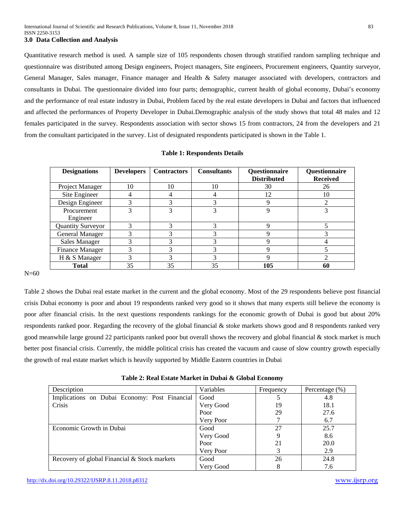Quantitative research method is used. A sample size of 105 respondents chosen through stratified random sampling technique and questionnaire was distributed among Design engineers, Project managers, Site engineers, Procurement engineers, Quantity surveyor, General Manager, Sales manager, Finance manager and Health & Safety manager associated with developers, contractors and consultants in Dubai. The questionnaire divided into four parts; demographic, current health of global economy, Dubai's economy and the performance of real estate industry in Dubai, Problem faced by the real estate developers in Dubai and factors that influenced and affected the performances of Property Developer in Dubai.Demographic analysis of the study shows that total 48 males and 12 females participated in the survey. Respondents association with sector shows 15 from contractors, 24 from the developers and 21 from the consultant participated in the survey. List of designated respondents participated is shown in the Table 1.

| <b>Designations</b>      | <b>Developers</b> | <b>Contractors</b> | <b>Consultants</b> | Questionnaire      | Questionnaire   |
|--------------------------|-------------------|--------------------|--------------------|--------------------|-----------------|
|                          |                   |                    |                    | <b>Distributed</b> | <b>Received</b> |
| Project Manager          | 10                | 10                 | 10                 | 30                 | 26              |
| Site Engineer            |                   |                    | 4                  | 12                 | 10              |
| Design Engineer          | 3                 | 3                  | 3                  | 9                  |                 |
| Procurement              |                   |                    | 3                  | Q                  |                 |
| Engineer                 |                   |                    |                    |                    |                 |
| <b>Quantity Surveyor</b> |                   | 3                  |                    | Q                  |                 |
| <b>General Manager</b>   |                   |                    |                    |                    |                 |
| <b>Sales Manager</b>     |                   |                    | 3                  | Q                  |                 |
| <b>Finance Manager</b>   | 3                 | 3                  | 3                  | Q                  |                 |
| H & S Manager            | 3                 | 3                  | 3                  | Q                  | ി               |
| <b>Total</b>             | 35                | 35                 | 35                 | 105                | 60              |

#### **Table 1: Respondents Details**

N=60

Table 2 shows the Dubai real estate market in the current and the global economy. Most of the 29 respondents believe post financial crisis Dubai economy is poor and about 19 respondents ranked very good so it shows that many experts still believe the economy is poor after financial crisis. In the next questions respondents rankings for the economic growth of Dubai is good but about 20% respondents ranked poor. Regarding the recovery of the global financial & stoke markets shows good and 8 respondents ranked very good meanwhile large ground 22 participants ranked poor but overall shows the recovery and global financial & stock market is much better post financial crisis. Currently, the middle political crisis has created the vacuum and cause of slow country growth especially the growth of real estate market which is heavily supported by Middle Eastern countries in Dubai

| Description                                   | Variables | Frequency | Percentage $(\% )$ |
|-----------------------------------------------|-----------|-----------|--------------------|
| Implications on Dubai Economy: Post Financial | Good      |           | 4.8                |
| Crisis                                        | Very Good | 19        | 18.1               |
|                                               | Poor      | 29        | 27.6               |
|                                               | Very Poor |           | 6.7                |
| Economic Growth in Dubai                      | Good      | 27        | 25.7               |
|                                               | Very Good | 9         | 8.6                |
|                                               | Poor      | 21        | 20.0               |
|                                               | Very Poor | 3         | 2.9                |
| Recovery of global Financial & Stock markets  | Good      | 26        | 24.8               |
|                                               | Very Good | 8         | 7.6                |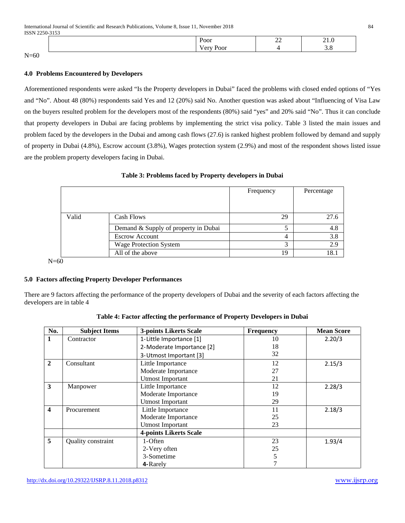| Poor                      | $\sim$<br>$\overline{\phantom{m}}$ | $\sim$ |
|---------------------------|------------------------------------|--------|
| $\sim$ $\sim$ $\sim$<br>. |                                    |        |

 $N=60$ 

# **4.0 Problems Encountered by Developers**

Aforementioned respondents were asked "Is the Property developers in Dubai" faced the problems with closed ended options of "Yes and "No". About 48 (80%) respondents said Yes and 12 (20%) said No. Another question was asked about "Influencing of Visa Law on the buyers resulted problem for the developers most of the respondents (80%) said "yes" and 20% said "No". Thus it can conclude that property developers in Dubai are facing problems by implementing the strict visa policy. Table 3 listed the main issues and problem faced by the developers in the Dubai and among cash flows (27.6) is ranked highest problem followed by demand and supply of property in Dubai (4.8%), Escrow account (3.8%), Wages protection system (2.9%) and most of the respondent shows listed issue are the problem property developers facing in Dubai.

|       |                                      | Frequency | Percentage |
|-------|--------------------------------------|-----------|------------|
|       |                                      |           |            |
| Valid | Cash Flows                           | 29        | 27.6       |
|       | Demand & Supply of property in Dubai |           | 4.8        |
|       | <b>Escrow Account</b>                | 4         | 3.8        |
|       | <b>Wage Protection System</b>        | 3         | 2.9        |
|       | All of the above                     | 19        | 18.1       |

## **Table 3: Problems faced by Property developers in Dubai**

# **5.0 Factors affecting Property Developer Performances**

There are 9 factors affecting the performance of the property developers of Dubai and the severity of each factors affecting the developers are in table 4

| No.                     | <b>Subject Items</b> | <b>3-points Likerts Scale</b> | <b>Frequency</b> | <b>Mean Score</b> |
|-------------------------|----------------------|-------------------------------|------------------|-------------------|
| 1                       | Contractor           | 1-Little Importance [1]       | 10               | 2.20/3            |
|                         |                      | 2-Moderate Importance [2]     | 18               |                   |
|                         |                      | 3-Utmost Important [3]        | 32               |                   |
| $\overline{2}$          | Consultant           | Little Importance             | 12               | 2.15/3            |
|                         |                      | Moderate Importance           | 27               |                   |
|                         |                      | <b>Utmost Important</b>       | 21               |                   |
| $\overline{\mathbf{3}}$ | Manpower             | Little Importance             | 12               | 2.28/3            |
|                         |                      | Moderate Importance           | 19               |                   |
|                         |                      | <b>Utmost Important</b>       | 29               |                   |
| $\overline{\mathbf{4}}$ | Procurement          | Little Importance             | 11               | 2.18/3            |
|                         |                      | Moderate Importance           | 25               |                   |
|                         |                      | <b>Utmost Important</b>       | 23               |                   |
|                         |                      | <b>4-points Likerts Scale</b> |                  |                   |
| 5                       | Quality constraint   | 1-Often                       | 23               | 1.93/4            |
|                         |                      | 2-Very often                  | 25               |                   |
|                         |                      | 3-Sometime                    | 5                |                   |
|                         |                      | 4-Rarely                      |                  |                   |

|  |  | Table 4: Factor affecting the performance of Property Developers in Dubai |  |  |  |
|--|--|---------------------------------------------------------------------------|--|--|--|
|  |  |                                                                           |  |  |  |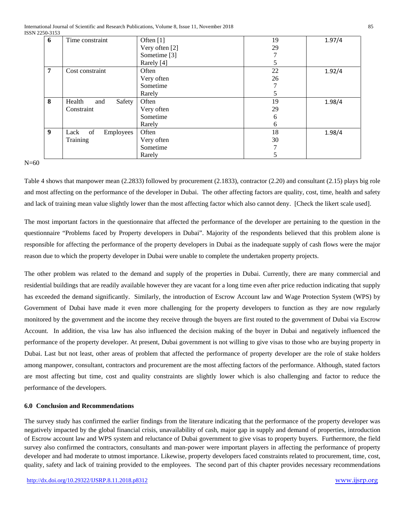| 6 | Time constraint         | Often [1]               | 19            | 1.97/4 |
|---|-------------------------|-------------------------|---------------|--------|
|   |                         | Very often [2]          | 29            |        |
|   |                         | Sometime <sup>[3]</sup> |               |        |
|   |                         | Rarely [4]              | 5             |        |
| 7 | Cost constraint         | Often                   | 22            | 1.92/4 |
|   |                         | Very often              | 26            |        |
|   |                         | Sometime                |               |        |
|   |                         | Rarely                  | 5             |        |
| 8 | Health<br>Safety<br>and | Often                   | 19            | 1.98/4 |
|   | Constraint              | Very often              | 29            |        |
|   |                         | Sometime                | 6             |        |
|   |                         | Rarely                  | 6             |        |
| 9 | of<br>Lack<br>Employees | Often                   | 18            | 1.98/4 |
|   | Training                | Very often              | 30            |        |
|   |                         | Sometime                |               |        |
|   |                         | Rarely                  | $\mathcal{D}$ |        |

 $N=60$ 

Table 4 shows that manpower mean (2.2833) followed by procurement (2.1833), contractor (2.20) and consultant (2.15) plays big role and most affecting on the performance of the developer in Dubai. The other affecting factors are quality, cost, time, health and safety and lack of training mean value slightly lower than the most affecting factor which also cannot deny. [Check the likert scale used].

The most important factors in the questionnaire that affected the performance of the developer are pertaining to the question in the questionnaire "Problems faced by Property developers in Dubai". Majority of the respondents believed that this problem alone is responsible for affecting the performance of the property developers in Dubai as the inadequate supply of cash flows were the major reason due to which the property developer in Dubai were unable to complete the undertaken property projects.

The other problem was related to the demand and supply of the properties in Dubai. Currently, there are many commercial and residential buildings that are readily available however they are vacant for a long time even after price reduction indicating that supply has exceeded the demand significantly. Similarly, the introduction of Escrow Account law and Wage Protection System (WPS) by Government of Dubai have made it even more challenging for the property developers to function as they are now regularly monitored by the government and the income they receive through the buyers are first routed to the government of Dubai via Escrow Account. In addition, the visa law has also influenced the decision making of the buyer in Dubai and negatively influenced the performance of the property developer. At present, Dubai government is not willing to give visas to those who are buying property in Dubai. Last but not least, other areas of problem that affected the performance of property developer are the role of stake holders among manpower, consultant, contractors and procurement are the most affecting factors of the performance. Although, stated factors are most affecting but time, cost and quality constraints are slightly lower which is also challenging and factor to reduce the performance of the developers.

# **6.0 Conclusion and Recommendations**

The survey study has confirmed the earlier findings from the literature indicating that the performance of the property developer was negatively impacted by the global financial crisis, unavailability of cash, major gap in supply and demand of properties, introduction of Escrow account law and WPS system and reluctance of Dubai government to give visas to property buyers. Furthermore, the field survey also confirmed the contractors, consultants and man-power were important players in affecting the performance of property developer and had moderate to utmost importance. Likewise, property developers faced constraints related to procurement, time, cost, quality, safety and lack of training provided to the employees. The second part of this chapter provides necessary recommendations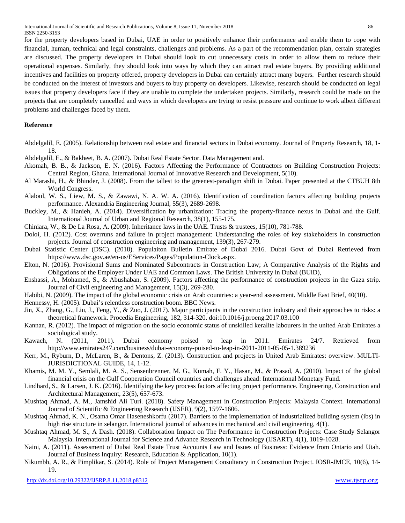International Journal of Scientific and Research Publications, Volume 8, Issue 11, November 2018 86 ISSN 2250-3153

for the property developers based in Dubai, UAE in order to positively enhance their performance and enable them to cope with financial, human, technical and legal constraints, challenges and problems. As a part of the recommendation plan, certain strategies are discussed. The property developers in Dubai should look to cut unnecessary costs in order to allow them to reduce their operational expenses. Similarly, they should look into ways by which they can attract real estate buyers. By providing additional incentives and facilities on property offered, property developers in Dubai can certainly attract many buyers. Further research should be conducted on the interest of investors and buyers to buy property on developers. Likewise, research should be conducted on legal issues that property developers face if they are unable to complete the undertaken projects. Similarly, research could be made on the projects that are completely cancelled and ways in which developers are trying to resist pressure and continue to work albeit different problems and challenges faced by them.

### **Reference**

- Abdelgalil, E. (2005). Relationship between real estate and financial sectors in Dubai economy. Journal of Property Research, 18, 1- 18.
- Abdelgalil, E., & Bakheet, B. A. (2007). Dubai Real Estate Sector. Data Management and.
- Akomah, B. B., & Jackson, E. N. (2016). Factors Affecting the Performance of Contractors on Building Construction Projects: Central Region, Ghana. International Journal of Innovative Research and Development, 5(10).
- Al Marashi, H., & Bhinder, J. (2008). From the tallest to the greenest-paradigm shift in Dubai. Paper presented at the CTBUH 8th World Congress.
- Alaloul, W. S., Liew, M. S., & Zawawi, N. A. W. A. (2016). Identification of coordination factors affecting building projects performance. Alexandria Engineering Journal, 55(3), 2689-2698.
- Buckley, M., & Hanieh, A. (2014). Diversification by urbanization: Tracing the property-finance nexus in Dubai and the Gulf. International Journal of Urban and Regional Research, 38(1), 155-175.
- Chiniara, W., & De La Rosa, A. (2009). Inheritance laws in the UAE. Trusts & trustees, 15(10), 781-788.
- Doloi, H. (2012). Cost overruns and failure in project management: Understanding the roles of key stakeholders in construction projects. Journal of construction engineering and management, 139(3), 267-279.
- Dubai Statistic Center (DSC). (2018). Populaiton Bulletin Emirate of Dubai 2016. Dubai Govt of Dubai Retrieved from https://www.dsc.gov.ae/en-us/EServices/Pages/Population-Clock.aspx.
- Elton, N. (2016). Provisional Sums and Nominated Subcontracts in Construction Law; A Comparative Analysis of the Rights and Obligations of the Employer Under UAE and Common Laws. The British University in Dubai (BUiD),
- Enshassi, A., Mohamed, S., & Abushaban, S. (2009). Factors affecting the performance of construction projects in the Gaza strip. Journal of Civil engineering and Management, 15(3), 269-280.
- Habibi, N. (2009). The impact of the global economic crisis on Arab countries: a year-end assessment. Middle East Brief, 40(10).
- Hennessy, H. (2005). Dubai's relentless construction boom. BBC News.
- Jin, X., Zhang, G., Liu, J., Feng, Y., & Zuo, J. (2017). Major participants in the construction industry and their approaches to risks: a theoretical framework. Procedia Engineering, 182, 314-320. doi:10.1016/j.proeng.2017.03.100
- Kannan, R. (2012). The impact of migration on the socio economic status of unskilled keralite labourers in the united Arab Emirates a sociological study.
- Kawach, N. (2011, 2011). Dubai economy poised to leap in 2011. Emirates 24/7. Retrieved from http://www.emirates247.com/business/dubai-economy-poised-to-leap-in-2011-2011-05-05-1.389236
- Kerr, M., Ryburn, D., McLaren, B., & Dentons, Z. (2013). Construction and projects in United Arab Emirates: overview. MULTI-JURISDICTIONAL GUIDE, 14, 1-12.
- Khamis, M. M. Y., Semlali, M. A. S., Sensenbrenner, M. G., Kumah, F. Y., Hasan, M., & Prasad, A. (2010). Impact of the global financial crisis on the Gulf Cooperation Council countries and challenges ahead: International Monetary Fund.
- Lindhard, S., & Larsen, J. K. (2016). Identifying the key process factors affecting project performance. Engineering, Construction and Architectural Management, 23(5), 657-673.
- Mushtaq Ahmad, A. M., Jamshid Ali Turi. (2018). Safety Management in Construction Projects: Malaysia Context. International Journal of Scientific & Engineering Research (IJSER), 9(2), 1597-1606.
- Mushtaq Ahmad, K. N., Osama Omar Haseneshkorfu (2017). Barriers to the implementation of industrialized building system (ibs) in high rise structure in selangor. International journal of advances in mechanical and civil engineering,  $4(1)$ .
- Mushtaq Ahmad, M. S., A Dash. (2018). Collaboration Impact on The Performance in Construction Projects: Case Study Selangor Malaysia. International Journal for Science and Advance Research in Technology (IJSART), 4(1), 1019-1028.
- Naini, A. (2011). Assessment of Dubai Real Estate Trust Accounts Law and Issues of Business: Evidence from Ontario and Utah. Journal of Business Inquiry: Research, Education & Application, 10(1).
- Nikumbh, A. R., & Pimplikar, S. (2014). Role of Project Management Consultancy in Construction Project. IOSR-JMCE, 10(6), 14- 19.